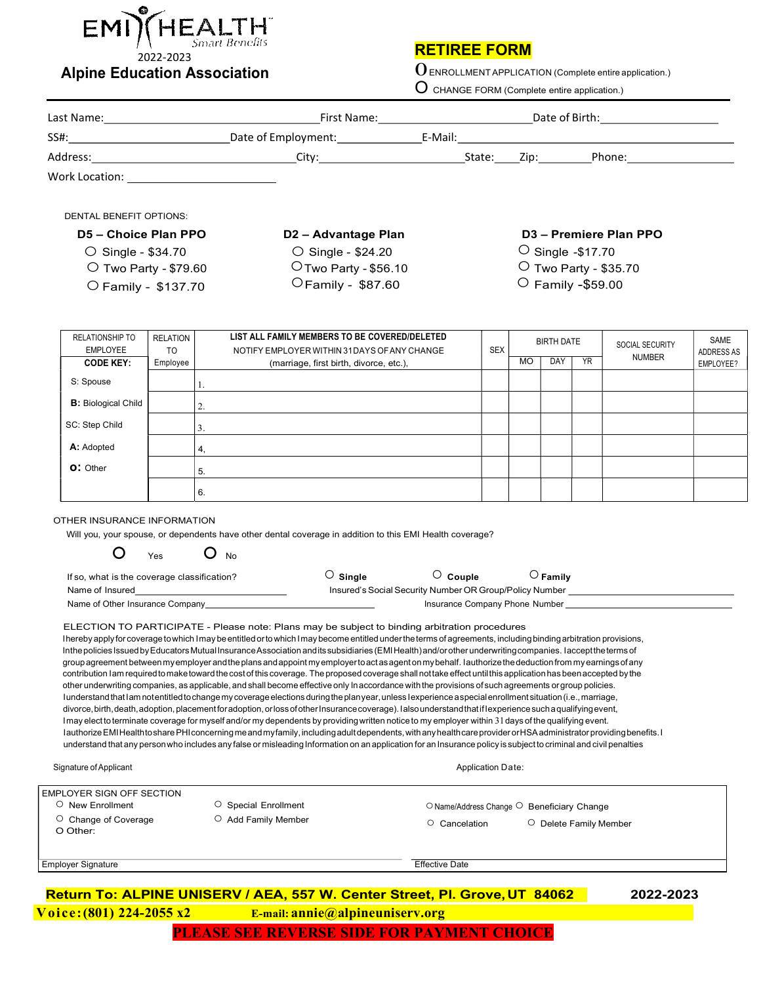

## RETIREE FORM

 $0$  ENROLLMENT APPLICATION (Complete entire application.)

|                                                                                         |                 |                                                                                                                                                                                                                                                                                                                                                                                                                                                                                                                                                                                                                                                                                                                                                                                                                                                                                                                                                                                                                                                                                                                                                                                                                                                                                                                                                                                                                                                                                                                                                                                                                                                                                                                                                                                                                                                                                                                         |                                                                                         | $O$ CHANGE FORM (Complete entire application.) |                                                        |                   |                                    |                         |                                                                                                                                                                                                    |                         |  |  |
|-----------------------------------------------------------------------------------------|-----------------|-------------------------------------------------------------------------------------------------------------------------------------------------------------------------------------------------------------------------------------------------------------------------------------------------------------------------------------------------------------------------------------------------------------------------------------------------------------------------------------------------------------------------------------------------------------------------------------------------------------------------------------------------------------------------------------------------------------------------------------------------------------------------------------------------------------------------------------------------------------------------------------------------------------------------------------------------------------------------------------------------------------------------------------------------------------------------------------------------------------------------------------------------------------------------------------------------------------------------------------------------------------------------------------------------------------------------------------------------------------------------------------------------------------------------------------------------------------------------------------------------------------------------------------------------------------------------------------------------------------------------------------------------------------------------------------------------------------------------------------------------------------------------------------------------------------------------------------------------------------------------------------------------------------------------|-----------------------------------------------------------------------------------------|------------------------------------------------|--------------------------------------------------------|-------------------|------------------------------------|-------------------------|----------------------------------------------------------------------------------------------------------------------------------------------------------------------------------------------------|-------------------------|--|--|
|                                                                                         |                 |                                                                                                                                                                                                                                                                                                                                                                                                                                                                                                                                                                                                                                                                                                                                                                                                                                                                                                                                                                                                                                                                                                                                                                                                                                                                                                                                                                                                                                                                                                                                                                                                                                                                                                                                                                                                                                                                                                                         |                                                                                         |                                                |                                                        |                   |                                    |                         |                                                                                                                                                                                                    |                         |  |  |
|                                                                                         |                 |                                                                                                                                                                                                                                                                                                                                                                                                                                                                                                                                                                                                                                                                                                                                                                                                                                                                                                                                                                                                                                                                                                                                                                                                                                                                                                                                                                                                                                                                                                                                                                                                                                                                                                                                                                                                                                                                                                                         |                                                                                         |                                                |                                                        |                   |                                    |                         |                                                                                                                                                                                                    |                         |  |  |
|                                                                                         |                 |                                                                                                                                                                                                                                                                                                                                                                                                                                                                                                                                                                                                                                                                                                                                                                                                                                                                                                                                                                                                                                                                                                                                                                                                                                                                                                                                                                                                                                                                                                                                                                                                                                                                                                                                                                                                                                                                                                                         |                                                                                         |                                                |                                                        |                   |                                    |                         |                                                                                                                                                                                                    |                         |  |  |
| Work Location: New York Location:                                                       |                 |                                                                                                                                                                                                                                                                                                                                                                                                                                                                                                                                                                                                                                                                                                                                                                                                                                                                                                                                                                                                                                                                                                                                                                                                                                                                                                                                                                                                                                                                                                                                                                                                                                                                                                                                                                                                                                                                                                                         |                                                                                         |                                                |                                                        |                   |                                    |                         |                                                                                                                                                                                                    |                         |  |  |
| <b>DENTAL BENEFIT OPTIONS:</b>                                                          |                 |                                                                                                                                                                                                                                                                                                                                                                                                                                                                                                                                                                                                                                                                                                                                                                                                                                                                                                                                                                                                                                                                                                                                                                                                                                                                                                                                                                                                                                                                                                                                                                                                                                                                                                                                                                                                                                                                                                                         |                                                                                         |                                                |                                                        |                   |                                    |                         |                                                                                                                                                                                                    |                         |  |  |
| D5 - Choice Plan PPO                                                                    |                 |                                                                                                                                                                                                                                                                                                                                                                                                                                                                                                                                                                                                                                                                                                                                                                                                                                                                                                                                                                                                                                                                                                                                                                                                                                                                                                                                                                                                                                                                                                                                                                                                                                                                                                                                                                                                                                                                                                                         | D2 - Advantage Plan                                                                     |                                                |                                                        |                   | D <sub>3</sub> - Premiere Plan PPO |                         |                                                                                                                                                                                                    |                         |  |  |
| $\circ$ Single - \$34.70                                                                |                 |                                                                                                                                                                                                                                                                                                                                                                                                                                                                                                                                                                                                                                                                                                                                                                                                                                                                                                                                                                                                                                                                                                                                                                                                                                                                                                                                                                                                                                                                                                                                                                                                                                                                                                                                                                                                                                                                                                                         | ○ Single - \$24.20                                                                      |                                                |                                                        |                   | $\circ$ Single -\$17.70            |                         |                                                                                                                                                                                                    |                         |  |  |
| O Two Party - \$79.60                                                                   |                 |                                                                                                                                                                                                                                                                                                                                                                                                                                                                                                                                                                                                                                                                                                                                                                                                                                                                                                                                                                                                                                                                                                                                                                                                                                                                                                                                                                                                                                                                                                                                                                                                                                                                                                                                                                                                                                                                                                                         | O Two Party - \$56.10                                                                   |                                                |                                                        |                   | O Two Party - \$35.70              |                         |                                                                                                                                                                                                    |                         |  |  |
| O Family - \$137.70                                                                     |                 |                                                                                                                                                                                                                                                                                                                                                                                                                                                                                                                                                                                                                                                                                                                                                                                                                                                                                                                                                                                                                                                                                                                                                                                                                                                                                                                                                                                                                                                                                                                                                                                                                                                                                                                                                                                                                                                                                                                         | OFamily - \$87.60                                                                       |                                                |                                                        |                   |                                    | $\circ$ Family -\$59.00 |                                                                                                                                                                                                    |                         |  |  |
| <b>RELATIONSHIP TO</b>                                                                  | <b>RELATION</b> |                                                                                                                                                                                                                                                                                                                                                                                                                                                                                                                                                                                                                                                                                                                                                                                                                                                                                                                                                                                                                                                                                                                                                                                                                                                                                                                                                                                                                                                                                                                                                                                                                                                                                                                                                                                                                                                                                                                         | LIST ALL FAMILY MEMBERS TO BE COVERED/DELETED                                           |                                                |                                                        | <b>BIRTH DATE</b> |                                    |                         | SOCIAL SECURITY                                                                                                                                                                                    | <b>SAME</b>             |  |  |
| <b>EMPLOYEE</b><br><b>CODE KEY:</b>                                                     | TO<br>Employee  |                                                                                                                                                                                                                                                                                                                                                                                                                                                                                                                                                                                                                                                                                                                                                                                                                                                                                                                                                                                                                                                                                                                                                                                                                                                                                                                                                                                                                                                                                                                                                                                                                                                                                                                                                                                                                                                                                                                         | NOTIFY EMPLOYER WITHIN 31 DAYS OF ANY CHANGE<br>(marriage, first birth, divorce, etc.), |                                                | <b>SEX</b>                                             | <b>MO</b>         | DAY                                | <b>YR</b>               | <b>NUMBER</b>                                                                                                                                                                                      | ADDRESS AS<br>EMPLOYEE? |  |  |
| S: Spouse                                                                               |                 |                                                                                                                                                                                                                                                                                                                                                                                                                                                                                                                                                                                                                                                                                                                                                                                                                                                                                                                                                                                                                                                                                                                                                                                                                                                                                                                                                                                                                                                                                                                                                                                                                                                                                                                                                                                                                                                                                                                         |                                                                                         |                                                |                                                        |                   |                                    |                         |                                                                                                                                                                                                    |                         |  |  |
| <b>B:</b> Biological Child                                                              |                 | 2.                                                                                                                                                                                                                                                                                                                                                                                                                                                                                                                                                                                                                                                                                                                                                                                                                                                                                                                                                                                                                                                                                                                                                                                                                                                                                                                                                                                                                                                                                                                                                                                                                                                                                                                                                                                                                                                                                                                      |                                                                                         |                                                |                                                        |                   |                                    |                         |                                                                                                                                                                                                    |                         |  |  |
| SC: Step Child                                                                          |                 | 3.                                                                                                                                                                                                                                                                                                                                                                                                                                                                                                                                                                                                                                                                                                                                                                                                                                                                                                                                                                                                                                                                                                                                                                                                                                                                                                                                                                                                                                                                                                                                                                                                                                                                                                                                                                                                                                                                                                                      |                                                                                         |                                                |                                                        |                   |                                    |                         |                                                                                                                                                                                                    |                         |  |  |
| A: Adopted                                                                              |                 | 4.                                                                                                                                                                                                                                                                                                                                                                                                                                                                                                                                                                                                                                                                                                                                                                                                                                                                                                                                                                                                                                                                                                                                                                                                                                                                                                                                                                                                                                                                                                                                                                                                                                                                                                                                                                                                                                                                                                                      |                                                                                         |                                                |                                                        |                   |                                    |                         |                                                                                                                                                                                                    |                         |  |  |
| O: Other                                                                                |                 | 5.                                                                                                                                                                                                                                                                                                                                                                                                                                                                                                                                                                                                                                                                                                                                                                                                                                                                                                                                                                                                                                                                                                                                                                                                                                                                                                                                                                                                                                                                                                                                                                                                                                                                                                                                                                                                                                                                                                                      |                                                                                         |                                                |                                                        |                   |                                    |                         |                                                                                                                                                                                                    |                         |  |  |
|                                                                                         |                 | 6.                                                                                                                                                                                                                                                                                                                                                                                                                                                                                                                                                                                                                                                                                                                                                                                                                                                                                                                                                                                                                                                                                                                                                                                                                                                                                                                                                                                                                                                                                                                                                                                                                                                                                                                                                                                                                                                                                                                      |                                                                                         |                                                |                                                        |                   |                                    |                         |                                                                                                                                                                                                    |                         |  |  |
| OTHER INSURANCE INFORMATION<br>$\circ$<br>If so, what is the coverage classification?   | Yes             | Will you, your spouse, or dependents have other dental coverage in addition to this EMI Health coverage?<br>$O_{N0}$<br>Name of Other Insurance Company<br>ELECTION TO PARTICIPATE - Please note: Plans may be subject to binding arbitration procedures<br>l hereby apply for coverage to which I may be entitled or to which I may become entitled under the terms of agreements, including binding arbitration provisions,<br>In the policies Issued by Educators Mutual Insurance Association and its subsidiaries (EMI Health) and/or other underwriting companies. I accept the terms of<br>group agreement between my employer and the plans and appoint my employer to act as agent on my behalf. I authorize the deduction from my earnings of any<br>contribution Iam required to make toward the cost of this coverage. The proposed coverage shall not take effect until this application has been accepted by the<br>other underwriting companies, as applicable, and shall become effective only In accordance with the provisions of such agreements or group policies.<br>lunderstand that lam notentitled to change my coverage elections during the plan year, unless lexperience aspecial enrollment situation (i.e., marriage,<br>divorce, birth, death, adoption, placement for adoption, or loss of other Insurance coverage). Ialso understand that if lexperience such a qualifying event,<br>I may elect to terminate coverage for myself and/or my dependents by providing written notice to my employer within 31 days of the qualifying event.<br>I authorize EMI Health to share PHI concerning me and my family, including adult dependents, with any health care provider or HSA administrator providing benefits. I<br>understand that any person who includes any false or misleading Information on an application for an Insurance policy is subject to criminal and civil penalties | $\circ$ Single                                                                          | $\circ$ Couple                                 |                                                        |                   | $\circ$ Family                     |                         | Insured's Social Security Number OR Group/Policy Number ________________________<br>Insurance Company Phone Number [19] [19] Decree Company Phone Number [19] Decree Company of the Company of the |                         |  |  |
| Signature of Applicant                                                                  |                 |                                                                                                                                                                                                                                                                                                                                                                                                                                                                                                                                                                                                                                                                                                                                                                                                                                                                                                                                                                                                                                                                                                                                                                                                                                                                                                                                                                                                                                                                                                                                                                                                                                                                                                                                                                                                                                                                                                                         |                                                                                         |                                                | <b>Application Date:</b>                               |                   |                                    |                         |                                                                                                                                                                                                    |                         |  |  |
|                                                                                         |                 |                                                                                                                                                                                                                                                                                                                                                                                                                                                                                                                                                                                                                                                                                                                                                                                                                                                                                                                                                                                                                                                                                                                                                                                                                                                                                                                                                                                                                                                                                                                                                                                                                                                                                                                                                                                                                                                                                                                         |                                                                                         |                                                |                                                        |                   |                                    |                         |                                                                                                                                                                                                    |                         |  |  |
| EMPLOYER SIGN OFF SECTION<br>$\circ$ New Enrollment<br>O Change of Coverage<br>O Other: |                 | ○ Special Enrollment<br>O Add Family Member                                                                                                                                                                                                                                                                                                                                                                                                                                                                                                                                                                                                                                                                                                                                                                                                                                                                                                                                                                                                                                                                                                                                                                                                                                                                                                                                                                                                                                                                                                                                                                                                                                                                                                                                                                                                                                                                             |                                                                                         | O Cancelation                                  | $\circ$ Name/Address Change $\circ$ Beneficiary Change |                   |                                    |                         | O Delete Family Member                                                                                                                                                                             |                         |  |  |
| Employer Signature                                                                      |                 |                                                                                                                                                                                                                                                                                                                                                                                                                                                                                                                                                                                                                                                                                                                                                                                                                                                                                                                                                                                                                                                                                                                                                                                                                                                                                                                                                                                                                                                                                                                                                                                                                                                                                                                                                                                                                                                                                                                         |                                                                                         | <b>Effective Date</b>                          |                                                        |                   |                                    |                         |                                                                                                                                                                                                    |                         |  |  |

## Return To: ALPINE UNISERV / AEA, 557 W. Center Street, Pl. Grove, UT 84062 2022-2023 PLEASE SEE REVERSE SIDE FOR PAYMENT CHOICE Voice:(801) 224-2055 x2 E-mail: annie@alpineuniserv.org